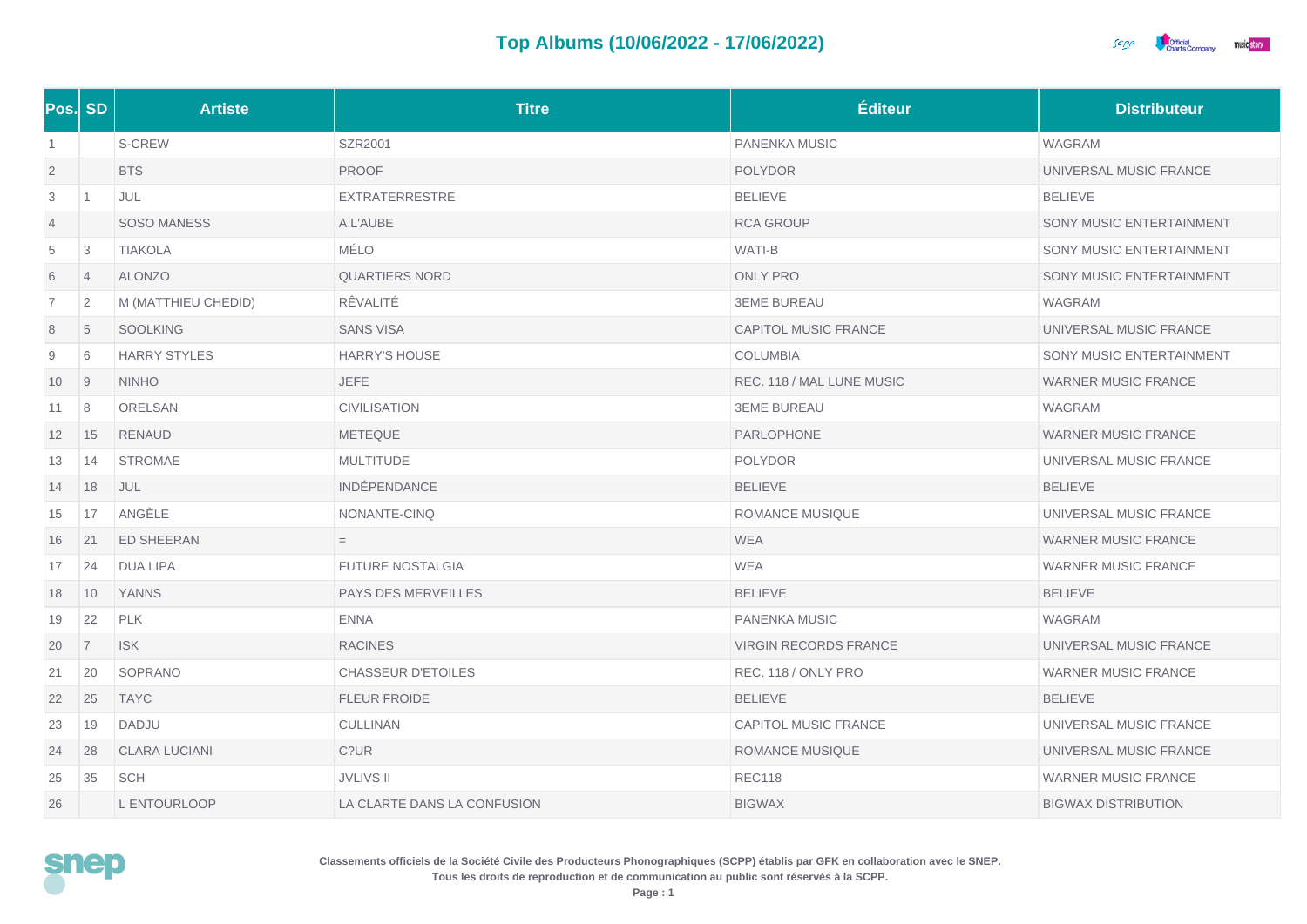

|                | Pos. SD        | <b>Artiste</b>       | <b>Titre</b>                | Éditeur                      | <b>Distributeur</b>        |
|----------------|----------------|----------------------|-----------------------------|------------------------------|----------------------------|
| $\overline{1}$ |                | S-CREW               | SZR2001                     | PANENKA MUSIC                | <b>WAGRAM</b>              |
| $\overline{2}$ |                | <b>BTS</b>           | <b>PROOF</b>                | <b>POLYDOR</b>               | UNIVERSAL MUSIC FRANCE     |
| 3              | $\vert$ 1      | JUL                  | <b>EXTRATERRESTRE</b>       | <b>BELIEVE</b>               | <b>BELIEVE</b>             |
| $\overline{4}$ |                | <b>SOSO MANESS</b>   | A L'AUBE                    | <b>RCA GROUP</b>             | SONY MUSIC ENTERTAINMENT   |
| 5              | 3              | <b>TIAKOLA</b>       | MÉLO                        | WATI-B                       | SONY MUSIC ENTERTAINMENT   |
| 6              | $\overline{4}$ | <b>ALONZO</b>        | <b>QUARTIERS NORD</b>       | <b>ONLY PRO</b>              | SONY MUSIC ENTERTAINMENT   |
| $\overline{7}$ | 2              | M (MATTHIEU CHEDID)  | RÊVALITÉ                    | <b>3EME BUREAU</b>           | WAGRAM                     |
| 8              | 5              | <b>SOOLKING</b>      | <b>SANS VISA</b>            | CAPITOL MUSIC FRANCE         | UNIVERSAL MUSIC FRANCE     |
| 9              | 6              | <b>HARRY STYLES</b>  | <b>HARRY'S HOUSE</b>        | <b>COLUMBIA</b>              | SONY MUSIC ENTERTAINMENT   |
| 10             | $\overline{9}$ | <b>NINHO</b>         | <b>JEFE</b>                 | REC. 118 / MAL LUNE MUSIC    | <b>WARNER MUSIC FRANCE</b> |
| 11             | 8              | ORELSAN              | <b>CIVILISATION</b>         | <b>3EME BUREAU</b>           | WAGRAM                     |
| 12             | 15             | <b>RENAUD</b>        | <b>METEQUE</b>              | PARLOPHONE                   | <b>WARNER MUSIC FRANCE</b> |
| 13             | 14             | <b>STROMAE</b>       | <b>MULTITUDE</b>            | <b>POLYDOR</b>               | UNIVERSAL MUSIC FRANCE     |
| 14             | 18             | JUL                  | <b>INDÉPENDANCE</b>         | <b>BELIEVE</b>               | <b>BELIEVE</b>             |
| 15             | 17             | ANGÈLE               | NONANTE-CINQ                | ROMANCE MUSIQUE              | UNIVERSAL MUSIC FRANCE     |
| 16             | 21             | <b>ED SHEERAN</b>    | $=$                         | <b>WEA</b>                   | <b>WARNER MUSIC FRANCE</b> |
| 17             | 24             | <b>DUA LIPA</b>      | <b>FUTURE NOSTALGIA</b>     | <b>WEA</b>                   | <b>WARNER MUSIC FRANCE</b> |
| 18             | 10             | <b>YANNS</b>         | PAYS DES MERVEILLES         | <b>BELIEVE</b>               | <b>BELIEVE</b>             |
| 19             | 22             | <b>PLK</b>           | <b>ENNA</b>                 | PANENKA MUSIC                | WAGRAM                     |
| 20             | 7              | <b>ISK</b>           | <b>RACINES</b>              | <b>VIRGIN RECORDS FRANCE</b> | UNIVERSAL MUSIC FRANCE     |
| 21             | 20             | SOPRANO              | <b>CHASSEUR D'ETOILES</b>   | REC. 118 / ONLY PRO          | <b>WARNER MUSIC FRANCE</b> |
| 22             | 25             | <b>TAYC</b>          | <b>FLEUR FROIDE</b>         | <b>BELIEVE</b>               | <b>BELIEVE</b>             |
| 23             | 19             | DADJU                | CULLINAN                    | <b>CAPITOL MUSIC FRANCE</b>  | UNIVERSAL MUSIC FRANCE     |
| 24             | 28             | <b>CLARA LUCIANI</b> | C?UR                        | <b>ROMANCE MUSIQUE</b>       | UNIVERSAL MUSIC FRANCE     |
| 25             | 35             | <b>SCH</b>           | <b>JVLIVS II</b>            | <b>REC118</b>                | <b>WARNER MUSIC FRANCE</b> |
| 26             |                | L ENTOURLOOP         | LA CLARTE DANS LA CONFUSION | <b>BIGWAX</b>                | <b>BIGWAX DISTRIBUTION</b> |

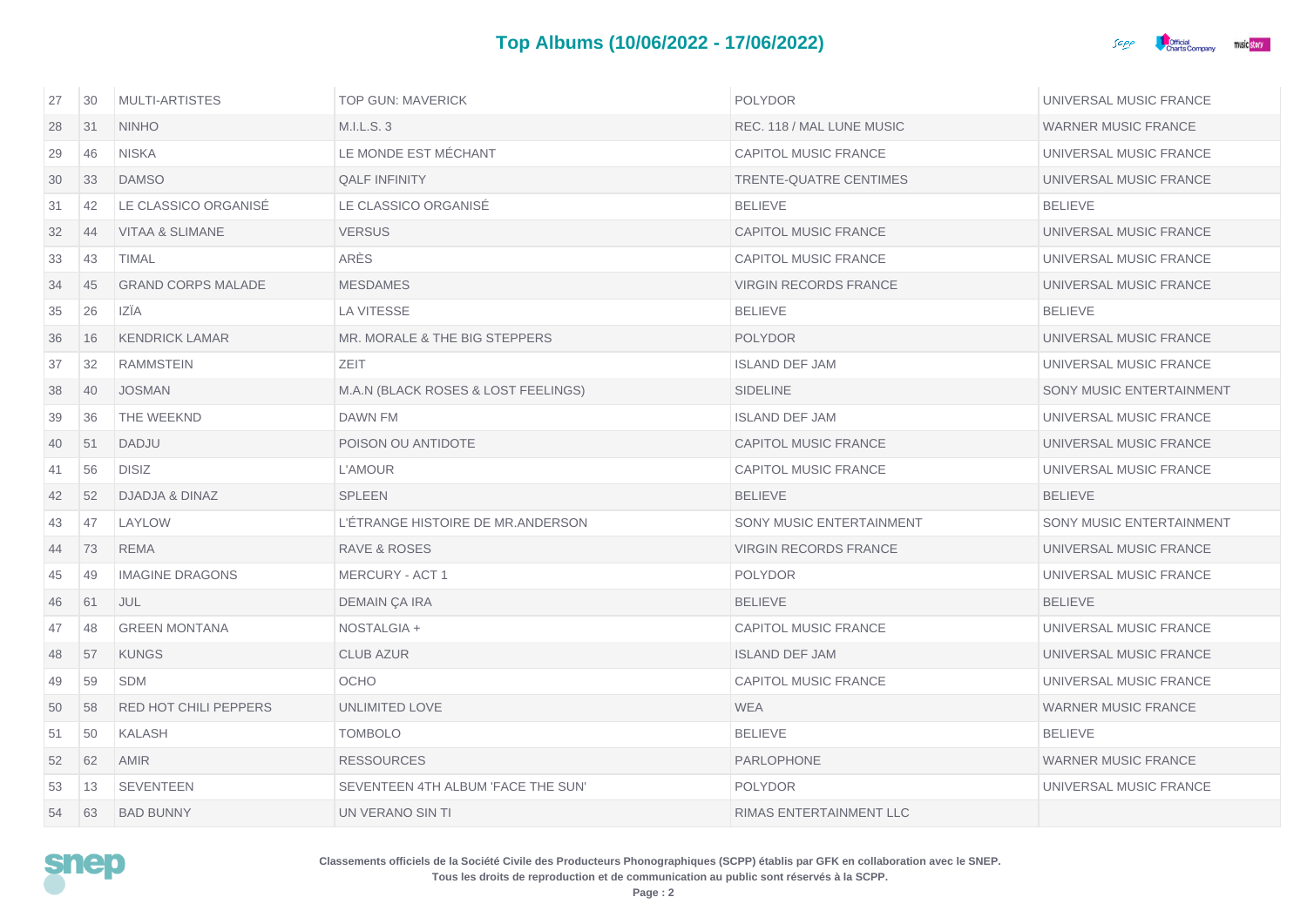

| 27 | 30 | <b>MULTI-ARTISTES</b>        | <b>TOP GUN: MAVERICK</b>            | <b>POLYDOR</b>                  | UNIVERSAL MUSIC FRANCE     |
|----|----|------------------------------|-------------------------------------|---------------------------------|----------------------------|
| 28 | 31 | <b>NINHO</b>                 | M.I.L.S.3                           | REC. 118 / MAL LUNE MUSIC       | <b>WARNER MUSIC FRANCE</b> |
| 29 | 46 | <b>NISKA</b>                 | LE MONDE EST MÉCHANT                | <b>CAPITOL MUSIC FRANCE</b>     | UNIVERSAL MUSIC FRANCE     |
| 30 | 33 | <b>DAMSO</b>                 | <b>QALF INFINITY</b>                | TRENTE-QUATRE CENTIMES          | UNIVERSAL MUSIC FRANCE     |
| 31 | 42 | LE CLASSICO ORGANISÉ         | LE CLASSICO ORGANISÉ                | <b>BELIEVE</b>                  | <b>BELIEVE</b>             |
| 32 | 44 | <b>VITAA &amp; SLIMANE</b>   | <b>VERSUS</b>                       | <b>CAPITOL MUSIC FRANCE</b>     | UNIVERSAL MUSIC FRANCE     |
| 33 | 43 | <b>TIMAL</b>                 | ARÈS                                | <b>CAPITOL MUSIC FRANCE</b>     | UNIVERSAL MUSIC FRANCE     |
| 34 | 45 | <b>GRAND CORPS MALADE</b>    | <b>MESDAMES</b>                     | <b>VIRGIN RECORDS FRANCE</b>    | UNIVERSAL MUSIC FRANCE     |
| 35 | 26 | IZÎA                         | <b>LA VITESSE</b>                   | <b>BELIEVE</b>                  | <b>BELIEVE</b>             |
| 36 | 16 | <b>KENDRICK LAMAR</b>        | MR. MORALE & THE BIG STEPPERS       | <b>POLYDOR</b>                  | UNIVERSAL MUSIC FRANCE     |
| 37 | 32 | RAMMSTEIN                    | <b>ZEIT</b>                         | <b>ISLAND DEF JAM</b>           | UNIVERSAL MUSIC FRANCE     |
| 38 | 40 | <b>JOSMAN</b>                | M.A.N (BLACK ROSES & LOST FEELINGS) | <b>SIDELINE</b>                 | SONY MUSIC ENTERTAINMENT   |
| 39 | 36 | THE WEEKND                   | DAWN FM                             | <b>ISLAND DEF JAM</b>           | UNIVERSAL MUSIC FRANCE     |
| 40 | 51 | <b>DADJU</b>                 | POISON OU ANTIDOTE                  | <b>CAPITOL MUSIC FRANCE</b>     | UNIVERSAL MUSIC FRANCE     |
| 41 | 56 | <b>DISIZ</b>                 | L'AMOUR                             | <b>CAPITOL MUSIC FRANCE</b>     | UNIVERSAL MUSIC FRANCE     |
| 42 | 52 | DJADJA & DINAZ               | <b>SPLEEN</b>                       | <b>BELIEVE</b>                  | <b>BELIEVE</b>             |
| 43 | 47 | LAYLOW                       | L'ÉTRANGE HISTOIRE DE MR.ANDERSON   | <b>SONY MUSIC ENTERTAINMENT</b> | SONY MUSIC ENTERTAINMENT   |
| 44 | 73 | <b>REMA</b>                  | RAVE & ROSES                        | <b>VIRGIN RECORDS FRANCE</b>    | UNIVERSAL MUSIC FRANCE     |
| 45 | 49 | <b>IMAGINE DRAGONS</b>       | <b>MERCURY - ACT 1</b>              | <b>POLYDOR</b>                  | UNIVERSAL MUSIC FRANCE     |
| 46 | 61 | <b>JUL</b>                   | DEMAIN ÇA IRA                       | <b>BELIEVE</b>                  | <b>BELIEVE</b>             |
| 47 | 48 | <b>GREEN MONTANA</b>         | NOSTALGIA +                         | <b>CAPITOL MUSIC FRANCE</b>     | UNIVERSAL MUSIC FRANCE     |
| 48 | 57 | <b>KUNGS</b>                 | <b>CLUB AZUR</b>                    | <b>ISLAND DEF JAM</b>           | UNIVERSAL MUSIC FRANCE     |
| 49 | 59 | <b>SDM</b>                   | <b>OCHO</b>                         | <b>CAPITOL MUSIC FRANCE</b>     | UNIVERSAL MUSIC FRANCE     |
| 50 | 58 | <b>RED HOT CHILI PEPPERS</b> | UNLIMITED LOVE                      | <b>WEA</b>                      | <b>WARNER MUSIC FRANCE</b> |
| 51 | 50 | <b>KALASH</b>                | <b>TOMBOLO</b>                      | <b>BELIEVE</b>                  | <b>BELIEVE</b>             |
| 52 | 62 | <b>AMIR</b>                  | <b>RESSOURCES</b>                   | <b>PARLOPHONE</b>               | <b>WARNER MUSIC FRANCE</b> |
| 53 | 13 | <b>SEVENTEEN</b>             | SEVENTEEN 4TH ALBUM 'FACE THE SUN'  | <b>POLYDOR</b>                  | UNIVERSAL MUSIC FRANCE     |
| 54 | 63 | <b>BAD BUNNY</b>             | UN VERANO SIN TI                    | RIMAS ENTERTAINMENT LLC         |                            |

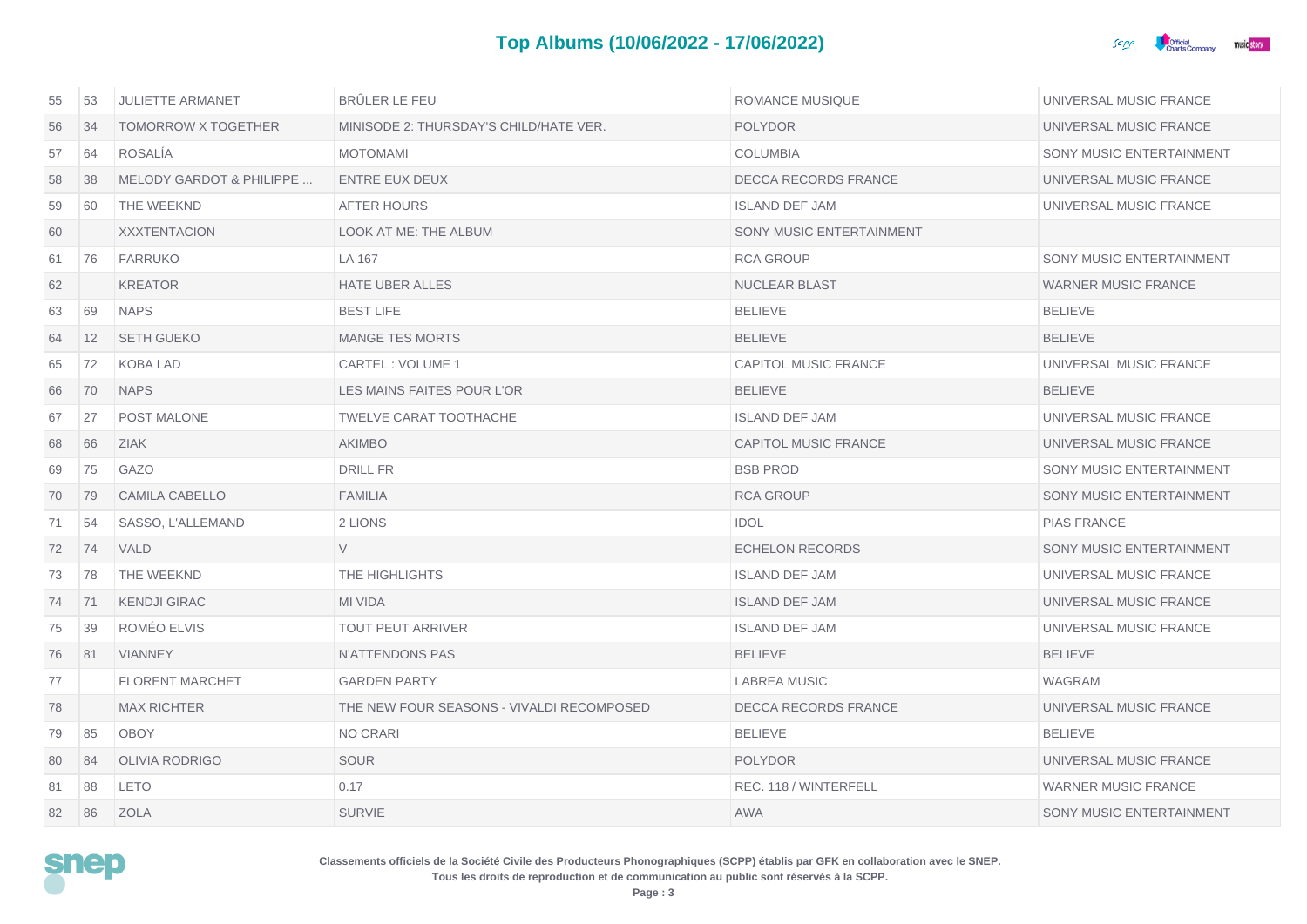## **Top Albums (10/06/2022 - 17/06/2022)**



| 55 | 53                | <b>JULIETTE ARMANET</b>             | <b>BRÜLER LE FEU</b>                      | <b>ROMANCE MUSIQUE</b>      | UNIVERSAL MUSIC FRANCE          |
|----|-------------------|-------------------------------------|-------------------------------------------|-----------------------------|---------------------------------|
| 56 | 34                | <b>TOMORROW X TOGETHER</b>          | MINISODE 2: THURSDAY'S CHILD/HATE VER.    | <b>POLYDOR</b>              | UNIVERSAL MUSIC FRANCE          |
| 57 | 64                | <b>ROSALIA</b>                      | <b>MOTOMAMI</b>                           | <b>COLUMBIA</b>             | SONY MUSIC ENTERTAINMENT        |
| 58 | 38                | <b>MELODY GARDOT &amp; PHILIPPE</b> | <b>ENTRE EUX DEUX</b>                     | <b>DECCA RECORDS FRANCE</b> | UNIVERSAL MUSIC FRANCE          |
| 59 | 60                | THE WEEKND                          | AFTER HOURS                               | <b>ISLAND DEF JAM</b>       | UNIVERSAL MUSIC FRANCE          |
| 60 |                   | <b>XXXTENTACION</b>                 | LOOK AT ME: THE ALBUM                     | SONY MUSIC ENTERTAINMENT    |                                 |
| 61 | 76                | <b>FARRUKO</b>                      | LA 167                                    | <b>RCA GROUP</b>            | SONY MUSIC ENTERTAINMENT        |
| 62 |                   | <b>KREATOR</b>                      | <b>HATE UBER ALLES</b>                    | <b>NUCLEAR BLAST</b>        | <b>WARNER MUSIC FRANCE</b>      |
| 63 | 69                | <b>NAPS</b>                         | <b>BEST LIFE</b>                          | <b>BELIEVE</b>              | <b>BELIEVE</b>                  |
| 64 | $12 \overline{ }$ | <b>SETH GUEKO</b>                   | <b>MANGE TES MORTS</b>                    | <b>BELIEVE</b>              | <b>BELIEVE</b>                  |
| 65 | 72                | <b>KOBA LAD</b>                     | CARTEL: VOLUME 1                          | <b>CAPITOL MUSIC FRANCE</b> | UNIVERSAL MUSIC FRANCE          |
| 66 | 70                | <b>NAPS</b>                         | LES MAINS FAITES POUR L'OR                | <b>BELIEVE</b>              | <b>BELIEVE</b>                  |
| 67 | 27                | POST MALONE                         | <b>TWELVE CARAT TOOTHACHE</b>             | <b>ISLAND DEF JAM</b>       | UNIVERSAL MUSIC FRANCE          |
| 68 | 66                | <b>ZIAK</b>                         | <b>AKIMBO</b>                             | <b>CAPITOL MUSIC FRANCE</b> | UNIVERSAL MUSIC FRANCE          |
| 69 | 75                | <b>GAZO</b>                         | <b>DRILL FR</b>                           | <b>BSB PROD</b>             | SONY MUSIC ENTERTAINMENT        |
| 70 | 79                | <b>CAMILA CABELLO</b>               | <b>FAMILIA</b>                            | <b>RCA GROUP</b>            | SONY MUSIC ENTERTAINMENT        |
| 71 | 54                | SASSO, L'ALLEMAND                   | 2 LIONS                                   | <b>IDOL</b>                 | <b>PIAS FRANCE</b>              |
| 72 | 74                | VALD                                | $\vee$                                    | <b>ECHELON RECORDS</b>      | SONY MUSIC ENTERTAINMENT        |
| 73 | 78                | THE WEEKND                          | THE HIGHLIGHTS                            | <b>ISLAND DEF JAM</b>       | UNIVERSAL MUSIC FRANCE          |
| 74 | 71                | <b>KENDJI GIRAC</b>                 | <b>MI VIDA</b>                            | <b>ISLAND DEF JAM</b>       | UNIVERSAL MUSIC FRANCE          |
| 75 | 39                | ROMÉO ELVIS                         | <b>TOUT PEUT ARRIVER</b>                  | <b>ISLAND DEF JAM</b>       | UNIVERSAL MUSIC FRANCE          |
| 76 | 81                | <b>VIANNEY</b>                      | N'ATTENDONS PAS                           | <b>BELIEVE</b>              | <b>BELIEVE</b>                  |
| 77 |                   | <b>FLORENT MARCHET</b>              | <b>GARDEN PARTY</b>                       | <b>LABREA MUSIC</b>         | <b>WAGRAM</b>                   |
| 78 |                   | <b>MAX RICHTER</b>                  | THE NEW FOUR SEASONS - VIVALDI RECOMPOSED | DECCA RECORDS FRANCE        | UNIVERSAL MUSIC FRANCE          |
| 79 | 85                | <b>OBOY</b>                         | NO CRARI                                  | <b>BELIEVE</b>              | <b>BELIEVE</b>                  |
| 80 | 84                | <b>OLIVIA RODRIGO</b>               | <b>SOUR</b>                               | <b>POLYDOR</b>              | UNIVERSAL MUSIC FRANCE          |
| 81 | 88                | <b>LETO</b>                         | 0.17                                      | REC. 118 / WINTERFELL       | <b>WARNER MUSIC FRANCE</b>      |
| 82 | 86                | <b>ZOLA</b>                         | <b>SURVIE</b>                             | <b>AWA</b>                  | <b>SONY MUSIC ENTERTAINMENT</b> |

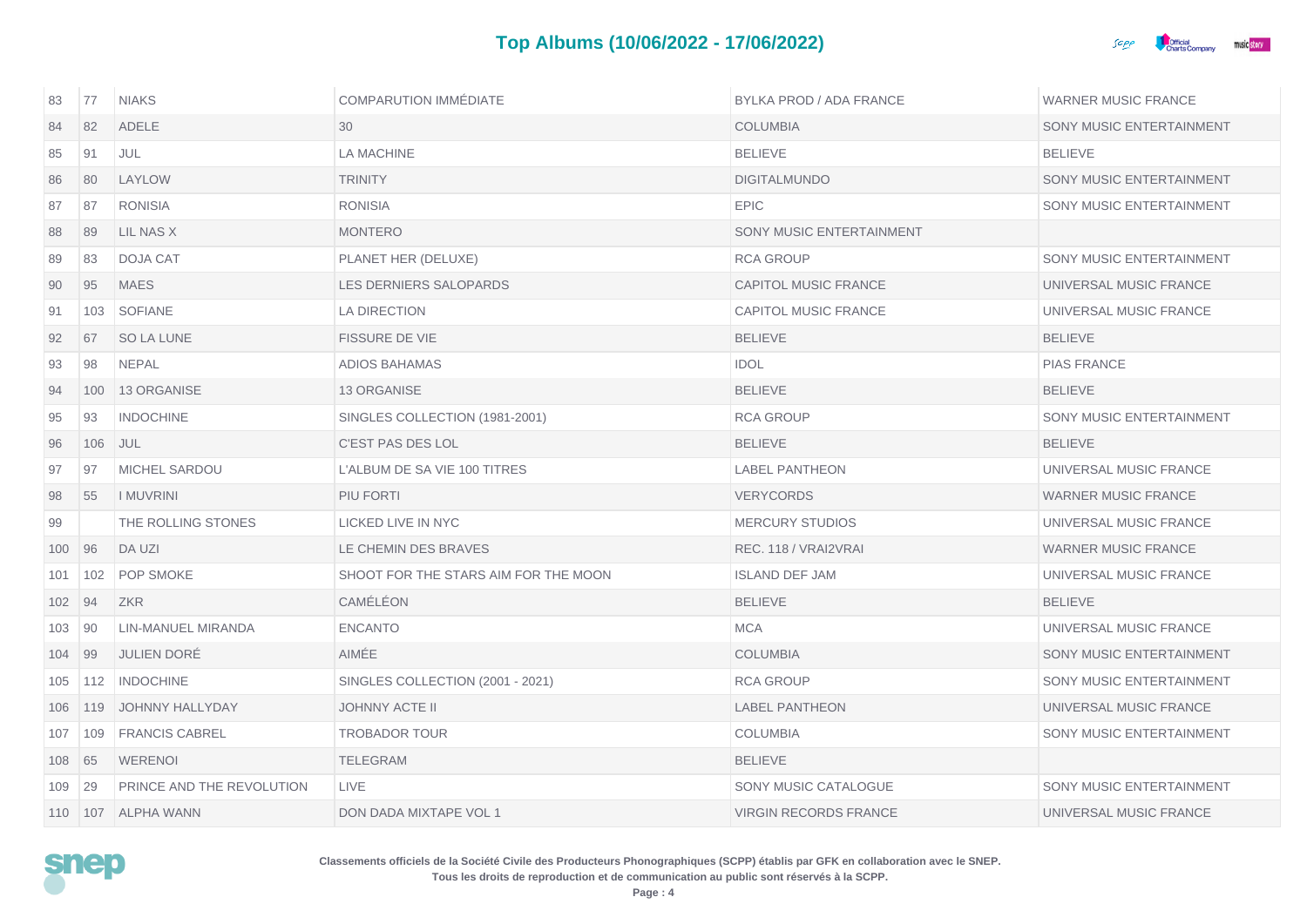

| 83     | 77  | <b>NIAKS</b>              | <b>COMPARUTION IMMÉDIATE</b>         | BYLKA PROD / ADA FRANCE      | <b>WARNER MUSIC FRANCE</b> |
|--------|-----|---------------------------|--------------------------------------|------------------------------|----------------------------|
| 84     | 82  | <b>ADELE</b>              | 30                                   | <b>COLUMBIA</b>              | SONY MUSIC ENTERTAINMENT   |
| 85     | 91  | <b>JUL</b>                | <b>LA MACHINE</b>                    | <b>BELIEVE</b>               | <b>BELIEVE</b>             |
| 86     | 80  | LAYLOW                    | <b>TRINITY</b>                       | <b>DIGITALMUNDO</b>          | SONY MUSIC ENTERTAINMENT   |
| 87     | 87  | <b>RONISIA</b>            | <b>RONISIA</b>                       | <b>EPIC</b>                  | SONY MUSIC ENTERTAINMENT   |
| 88     | 89  | LIL NAS X                 | <b>MONTERO</b>                       | SONY MUSIC ENTERTAINMENT     |                            |
| 89     | 83  | DOJA CAT                  | PLANET HER (DELUXE)                  | <b>RCA GROUP</b>             | SONY MUSIC ENTERTAINMENT   |
| 90     | 95  | <b>MAES</b>               | LES DERNIERS SALOPARDS               | <b>CAPITOL MUSIC FRANCE</b>  | UNIVERSAL MUSIC FRANCE     |
| 91     | 103 | <b>SOFIANE</b>            | LA DIRECTION                         | <b>CAPITOL MUSIC FRANCE</b>  | UNIVERSAL MUSIC FRANCE     |
| 92     | 67  | <b>SO LA LUNE</b>         | <b>FISSURE DE VIE</b>                | <b>BELIEVE</b>               | <b>BELIEVE</b>             |
| 93     | 98  | <b>NEPAL</b>              | ADIOS BAHAMAS                        | <b>IDOL</b>                  | <b>PIAS FRANCE</b>         |
| 94     | 100 | <b>13 ORGANISE</b>        | 13 ORGANISE                          | <b>BELIEVE</b>               | <b>BELIEVE</b>             |
| 95     | 93  | <b>INDOCHINE</b>          | SINGLES COLLECTION (1981-2001)       | <b>RCA GROUP</b>             | SONY MUSIC ENTERTAINMENT   |
| 96     | 106 | <b>JUL</b>                | <b>C'EST PAS DES LOL</b>             | <b>BELIEVE</b>               | <b>BELIEVE</b>             |
| 97     | 97  | MICHEL SARDOU             | L'ALBUM DE SA VIE 100 TITRES         | <b>LABEL PANTHEON</b>        | UNIVERSAL MUSIC FRANCE     |
| 98     | 55  | <b>I MUVRINI</b>          | PIU FORTI                            | <b>VERYCORDS</b>             | <b>WARNER MUSIC FRANCE</b> |
| 99     |     | THE ROLLING STONES        | LICKED LIVE IN NYC                   | <b>MERCURY STUDIOS</b>       | UNIVERSAL MUSIC FRANCE     |
| 100    | 96  | DA UZI                    | LE CHEMIN DES BRAVES                 | REC. 118 / VRAI2VRAI         | <b>WARNER MUSIC FRANCE</b> |
| 101    | 102 | <b>POP SMOKE</b>          | SHOOT FOR THE STARS AIM FOR THE MOON | <b>ISLAND DEF JAM</b>        | UNIVERSAL MUSIC FRANCE     |
| 102    | 94  | ZKR                       | CAMÉLÉON                             | <b>BELIEVE</b>               | <b>BELIEVE</b>             |
| 103 90 |     | LIN-MANUEL MIRANDA        | <b>ENCANTO</b>                       | <b>MCA</b>                   | UNIVERSAL MUSIC FRANCE     |
| 104    | 99  | <b>JULIEN DORÉ</b>        | <b>AIMÉE</b>                         | <b>COLUMBIA</b>              | SONY MUSIC ENTERTAINMENT   |
| 105    | 112 | <b>INDOCHINE</b>          | SINGLES COLLECTION (2001 - 2021)     | <b>RCA GROUP</b>             | SONY MUSIC ENTERTAINMENT   |
| 106    |     | 119 JOHNNY HALLYDAY       | <b>JOHNNY ACTE II</b>                | <b>LABEL PANTHEON</b>        | UNIVERSAL MUSIC FRANCE     |
| 107    | 109 | <b>FRANCIS CABREL</b>     | <b>TROBADOR TOUR</b>                 | <b>COLUMBIA</b>              | SONY MUSIC ENTERTAINMENT   |
| 108 65 |     | <b>WERENOI</b>            | <b>TELEGRAM</b>                      | <b>BELIEVE</b>               |                            |
| 109    | 29  | PRINCE AND THE REVOLUTION | <b>LIVE</b>                          | SONY MUSIC CATALOGUE         | SONY MUSIC ENTERTAINMENT   |
|        |     | 110   107   ALPHA WANN    | DON DADA MIXTAPE VOL 1               | <b>VIRGIN RECORDS FRANCE</b> | UNIVERSAL MUSIC FRANCE     |

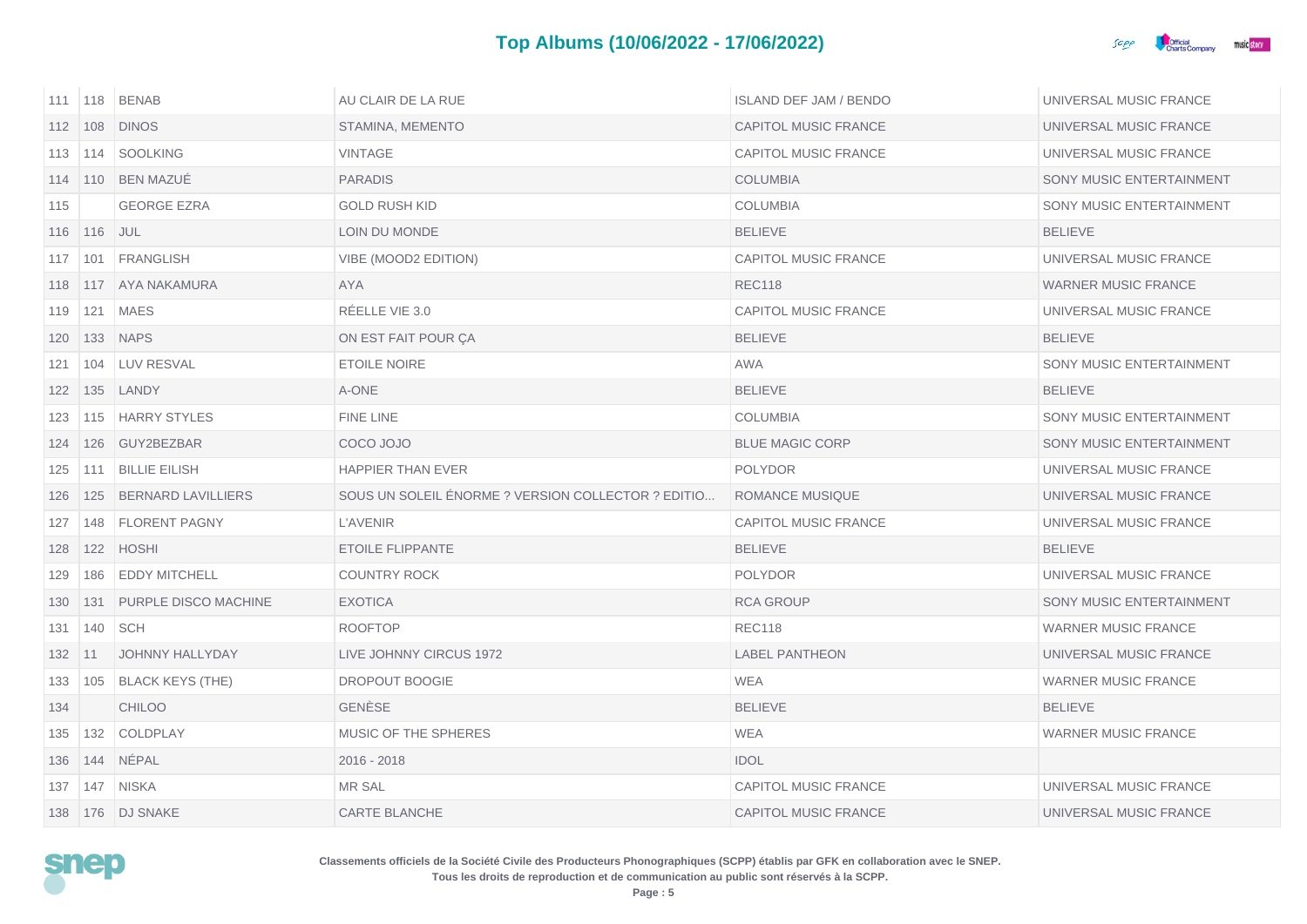

|            |                 | 111   118   BENAB              | AU CLAIR DE LA RUE                                 | <b>ISLAND DEF JAM / BENDO</b> | UNIVERSAL MUSIC FRANCE     |
|------------|-----------------|--------------------------------|----------------------------------------------------|-------------------------------|----------------------------|
|            |                 | 112 108 DINOS                  | STAMINA, MEMENTO                                   | <b>CAPITOL MUSIC FRANCE</b>   | UNIVERSAL MUSIC FRANCE     |
|            |                 | 113   114   SOOLKING           | <b>VINTAGE</b>                                     | CAPITOL MUSIC FRANCE          | UNIVERSAL MUSIC FRANCE     |
|            |                 | 114   110   BEN MAZUE          | <b>PARADIS</b>                                     | <b>COLUMBIA</b>               | SONY MUSIC ENTERTAINMENT   |
| 115        |                 | <b>GEORGE EZRA</b>             | <b>GOLD RUSH KID</b>                               | <b>COLUMBIA</b>               | SONY MUSIC ENTERTAINMENT   |
|            | 116   116   JUL |                                | LOIN DU MONDE                                      | <b>BELIEVE</b>                | <b>BELIEVE</b>             |
|            |                 | 117   101   FRANGLISH          | VIBE (MOOD2 EDITION)                               | <b>CAPITOL MUSIC FRANCE</b>   | UNIVERSAL MUSIC FRANCE     |
|            |                 | 118   117   AYA NAKAMURA       | <b>AYA</b>                                         | <b>REC118</b>                 | WARNER MUSIC FRANCE        |
| 119        |                 | 121   MAES                     | RÉELLE VIE 3.0                                     | CAPITOL MUSIC FRANCE          | UNIVERSAL MUSIC FRANCE     |
| 120        |                 | <b>133 NAPS</b>                | ON EST FAIT POUR ÇA                                | <b>BELIEVE</b>                | <b>BELIEVE</b>             |
| 121        |                 | 104 LUV RESVAL                 | <b>ETOILE NOIRE</b>                                | AWA                           | SONY MUSIC ENTERTAINMENT   |
|            |                 | 122   135   LANDY              | A-ONE                                              | <b>BELIEVE</b>                | <b>BELIEVE</b>             |
|            |                 | 123   115   HARRY STYLES       | FINE LINE                                          | <b>COLUMBIA</b>               | SONY MUSIC ENTERTAINMENT   |
| 124        |                 | 126 GUY2BEZBAR                 | COCO JOJO                                          | <b>BLUE MAGIC CORP</b>        | SONY MUSIC ENTERTAINMENT   |
| 125        |                 | 111 BILLIE EILISH              | <b>HAPPIER THAN EVER</b>                           | <b>POLYDOR</b>                | UNIVERSAL MUSIC FRANCE     |
|            |                 | 126   125   BERNARD LAVILLIERS | SOUS UN SOLEIL ENORME ? VERSION COLLECTOR ? EDITIO | ROMANCE MUSIQUE               | UNIVERSAL MUSIC FRANCE     |
| 127        | 148             | <b>FLORENT PAGNY</b>           | <b>L'AVENIR</b>                                    | CAPITOL MUSIC FRANCE          | UNIVERSAL MUSIC FRANCE     |
| 128        |                 | 122 HOSHI                      | <b>ETOILE FLIPPANTE</b>                            | <b>BELIEVE</b>                | <b>BELIEVE</b>             |
| 129        | 186             | <b>EDDY MITCHELL</b>           | <b>COUNTRY ROCK</b>                                | <b>POLYDOR</b>                | UNIVERSAL MUSIC FRANCE     |
| 130        |                 | 131 PURPLE DISCO MACHINE       | <b>EXOTICA</b>                                     | <b>RCA GROUP</b>              | SONY MUSIC ENTERTAINMENT   |
| 131        | 140             | <b>SCH</b>                     | <b>ROOFTOP</b>                                     | <b>REC118</b>                 | <b>WARNER MUSIC FRANCE</b> |
| $132$   11 |                 | JOHNNY HALLYDAY                | LIVE JOHNNY CIRCUS 1972                            | <b>LABEL PANTHEON</b>         | UNIVERSAL MUSIC FRANCE     |
| 133        |                 | 105 BLACK KEYS (THE)           | DROPOUT BOOGIE                                     | WEA                           | <b>WARNER MUSIC FRANCE</b> |
| 134        |                 | <b>CHILOO</b>                  | <b>GENESE</b>                                      | <b>BELIEVE</b>                | <b>BELIEVE</b>             |
|            |                 | 135   132   COLDPLAY           | MUSIC OF THE SPHERES                               | <b>WEA</b>                    | <b>WARNER MUSIC FRANCE</b> |
| 136        |                 | 144 NÉPAL                      | $2016 - 2018$                                      | <b>IDOL</b>                   |                            |
| 137        |                 | 147 NISKA                      | <b>MR SAL</b>                                      | <b>CAPITOL MUSIC FRANCE</b>   | UNIVERSAL MUSIC FRANCE     |
|            |                 | 138   176   DJ SNAKE           | <b>CARTE BLANCHE</b>                               | <b>CAPITOL MUSIC FRANCE</b>   | UNIVERSAL MUSIC FRANCE     |

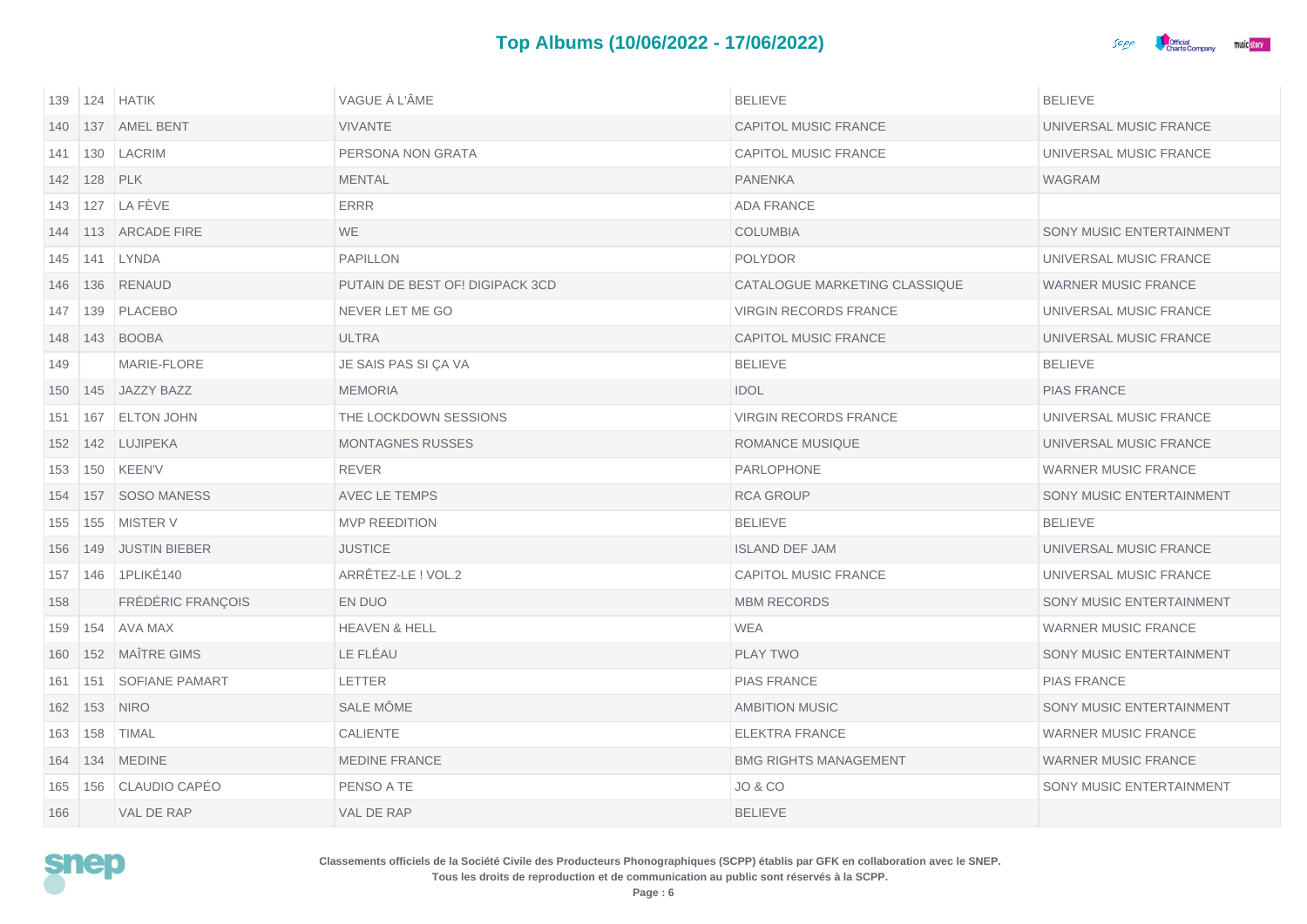

| 139 | 124 | <b>HATIK</b>         | VAGUE À L'ÂME                   | <b>BELIEVE</b>                | <b>BELIEVE</b>             |
|-----|-----|----------------------|---------------------------------|-------------------------------|----------------------------|
| 140 | 137 | <b>AMEL BENT</b>     | <b>VIVANTE</b>                  | <b>CAPITOL MUSIC FRANCE</b>   | UNIVERSAL MUSIC FRANCE     |
| 141 |     | 130   LACRIM         | PERSONA NON GRATA               | CAPITOL MUSIC FRANCE          | UNIVERSAL MUSIC FRANCE     |
| 142 | 128 | PLK                  | <b>MENTAL</b>                   | <b>PANENKA</b>                | <b>WAGRAM</b>              |
| 143 | 127 | LA FÈVE              | <b>ERRR</b>                     | <b>ADA FRANCE</b>             |                            |
| 144 |     | 113 ARCADE FIRE      | <b>WE</b>                       | <b>COLUMBIA</b>               | SONY MUSIC ENTERTAINMENT   |
| 145 | 141 | LYNDA                | <b>PAPILLON</b>                 | <b>POLYDOR</b>                | UNIVERSAL MUSIC FRANCE     |
| 146 | 136 | RENAUD               | PUTAIN DE BEST OF! DIGIPACK 3CD | CATALOGUE MARKETING CLASSIQUE | WARNER MUSIC FRANCE        |
| 147 | 139 | PLACEBO              | NEVER LET ME GO                 | <b>VIRGIN RECORDS FRANCE</b>  | UNIVERSAL MUSIC FRANCE     |
| 148 |     | 143 BOOBA            | <b>ULTRA</b>                    | <b>CAPITOL MUSIC FRANCE</b>   | UNIVERSAL MUSIC FRANCE     |
| 149 |     | MARIE-FLORE          | JE SAIS PAS SI ÇA VA            | <b>BELIEVE</b>                | <b>BELIEVE</b>             |
| 150 |     | 145 JAZZY BAZZ       | <b>MEMORIA</b>                  | <b>IDOL</b>                   | <b>PIAS FRANCE</b>         |
| 151 | 167 | <b>ELTON JOHN</b>    | THE LOCKDOWN SESSIONS           | <b>VIRGIN RECORDS FRANCE</b>  | UNIVERSAL MUSIC FRANCE     |
| 152 |     | 142 LUJIPEKA         | <b>MONTAGNES RUSSES</b>         | <b>ROMANCE MUSIQUE</b>        | UNIVERSAL MUSIC FRANCE     |
| 153 | 150 | <b>KEEN'V</b>        | <b>REVER</b>                    | PARLOPHONE                    | <b>WARNER MUSIC FRANCE</b> |
| 154 | 157 | <b>SOSO MANESS</b>   | AVEC LE TEMPS                   | <b>RCA GROUP</b>              | SONY MUSIC ENTERTAINMENT   |
| 155 | 155 | <b>MISTER V</b>      | <b>MVP REEDITION</b>            | <b>BELIEVE</b>                | <b>BELIEVE</b>             |
| 156 | 149 | <b>JUSTIN BIEBER</b> | <b>JUSTICE</b>                  | <b>ISLAND DEF JAM</b>         | UNIVERSAL MUSIC FRANCE     |
| 157 | 146 | 1PLIKÉ140            | ARRÊTEZ-LE ! VOL.2              | <b>CAPITOL MUSIC FRANCE</b>   | UNIVERSAL MUSIC FRANCE     |
| 158 |     | FRÉDÉRIC FRANÇOIS    | EN DUO                          | <b>MBM RECORDS</b>            | SONY MUSIC ENTERTAINMENT   |
| 159 | 154 | AVA MAX              | <b>HEAVEN &amp; HELL</b>        | <b>WEA</b>                    | <b>WARNER MUSIC FRANCE</b> |
| 160 | 152 | <b>MAÎTRE GIMS</b>   | LE FLÉAU                        | <b>PLAY TWO</b>               | SONY MUSIC ENTERTAINMENT   |
| 161 | 151 | SOFIANE PAMART       | <b>LETTER</b>                   | <b>PIAS FRANCE</b>            | <b>PIAS FRANCE</b>         |
| 162 | 153 | <b>NIRO</b>          | SALE MÖME                       | <b>AMBITION MUSIC</b>         | SONY MUSIC ENTERTAINMENT   |
| 163 | 158 | <b>TIMAL</b>         | CALIENTE                        | <b>ELEKTRA FRANCE</b>         | <b>WARNER MUSIC FRANCE</b> |
| 164 |     | 134 MEDINE           | <b>MEDINE FRANCE</b>            | <b>BMG RIGHTS MANAGEMENT</b>  | <b>WARNER MUSIC FRANCE</b> |
| 165 | 156 | CLAUDIO CAPÉO        | PENSO A TE                      | <b>JO &amp; CO</b>            | SONY MUSIC ENTERTAINMENT   |
| 166 |     | VAL DE RAP           | VAL DE RAP                      | <b>BELIEVE</b>                |                            |

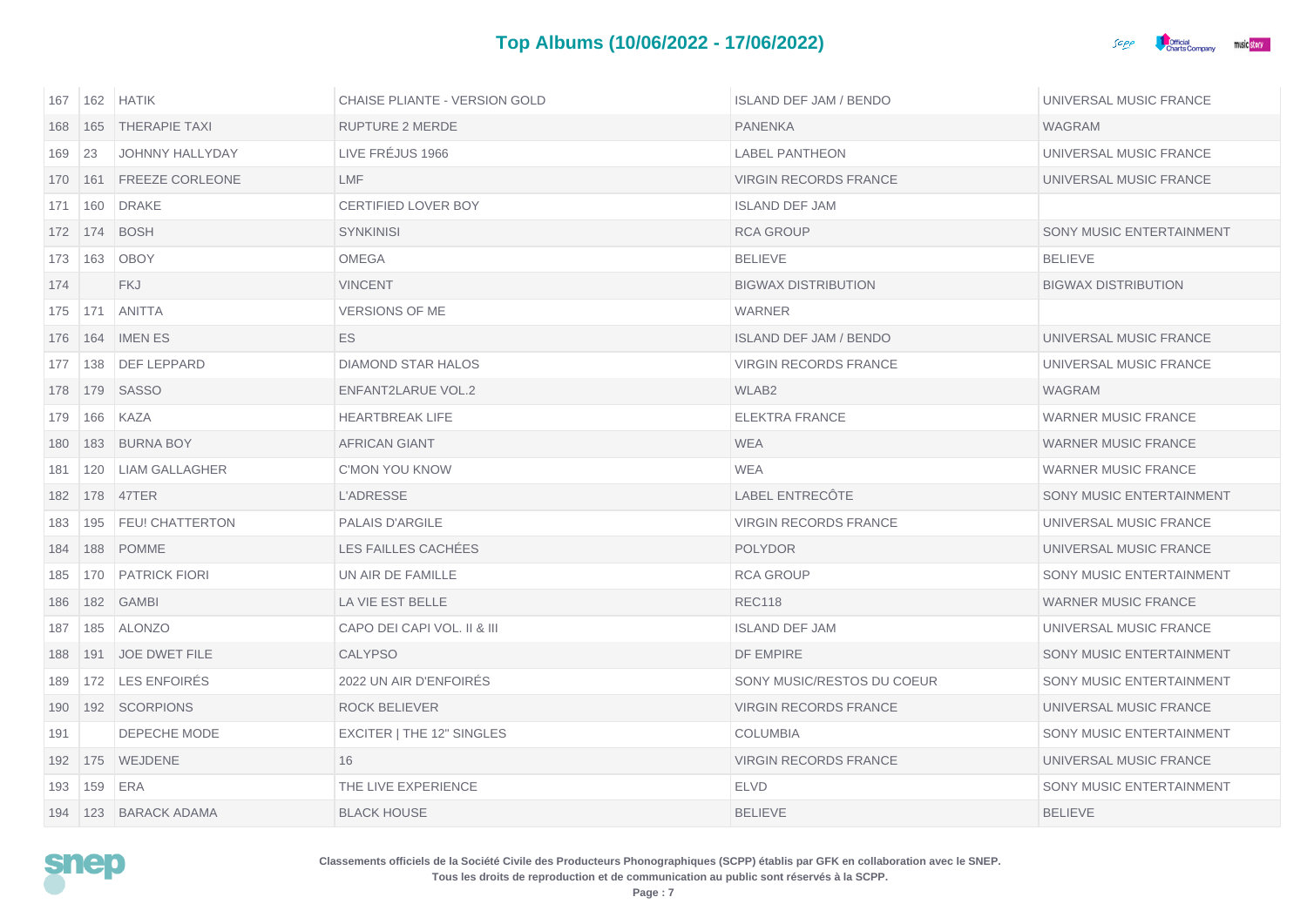

| 167 | 162 | <b>HATIK</b>             | <b>CHAISE PLIANTE - VERSION GOLD</b> | <b>ISLAND DEF JAM / BENDO</b> | UNIVERSAL MUSIC FRANCE     |
|-----|-----|--------------------------|--------------------------------------|-------------------------------|----------------------------|
| 168 | 165 | <b>THERAPIE TAXI</b>     | <b>RUPTURE 2 MERDE</b>               | <b>PANENKA</b>                | <b>WAGRAM</b>              |
| 169 | 23  | <b>JOHNNY HALLYDAY</b>   | LIVE FREJUS 1966                     | <b>LABEL PANTHEON</b>         | UNIVERSAL MUSIC FRANCE     |
| 170 | 161 | FREEZE CORLEONE          | <b>LMF</b>                           | <b>VIRGIN RECORDS FRANCE</b>  | UNIVERSAL MUSIC FRANCE     |
| 171 | 160 | <b>DRAKE</b>             | <b>CERTIFIED LOVER BOY</b>           | <b>ISLAND DEF JAM</b>         |                            |
|     |     | 172   174   BOSH         | <b>SYNKINISI</b>                     | <b>RCA GROUP</b>              | SONY MUSIC ENTERTAINMENT   |
| 173 | 163 | <b>OBOY</b>              | OMEGA                                | <b>BELIEVE</b>                | <b>BELIEVE</b>             |
| 174 |     | <b>FKJ</b>               | <b>VINCENT</b>                       | <b>BIGWAX DISTRIBUTION</b>    | <b>BIGWAX DISTRIBUTION</b> |
| 175 | 171 | <b>ANITTA</b>            | <b>VERSIONS OF ME</b>                | <b>WARNER</b>                 |                            |
| 176 |     | 164 IMENES               | ES.                                  | <b>ISLAND DEF JAM / BENDO</b> | UNIVERSAL MUSIC FRANCE     |
| 177 |     | 138   DEF LEPPARD        | <b>DIAMOND STAR HALOS</b>            | <b>VIRGIN RECORDS FRANCE</b>  | UNIVERSAL MUSIC FRANCE     |
| 178 |     | 179 SASSO                | ENFANT2LARUE VOL.2                   | WLAB <sub>2</sub>             | <b>WAGRAM</b>              |
| 179 | 166 | KAZA                     | <b>HEARTBREAK LIFE</b>               | <b>ELEKTRA FRANCE</b>         | <b>WARNER MUSIC FRANCE</b> |
| 180 |     | 183 BURNA BOY            | <b>AFRICAN GIANT</b>                 | <b>WEA</b>                    | <b>WARNER MUSIC FRANCE</b> |
| 181 | 120 | <b>LIAM GALLAGHER</b>    | <b>C'MON YOU KNOW</b>                | WEA                           | <b>WARNER MUSIC FRANCE</b> |
| 182 |     | 178 47TER                | <b>L'ADRESSE</b>                     | LABEL ENTRECÔTE               | SONY MUSIC ENTERTAINMENT   |
| 183 | 195 | <b>FEU! CHATTERTON</b>   | <b>PALAIS D'ARGILE</b>               | <b>VIRGIN RECORDS FRANCE</b>  | UNIVERSAL MUSIC FRANCE     |
| 184 |     | 188 POMME                | LES FAILLES CACHÉES                  | <b>POLYDOR</b>                | UNIVERSAL MUSIC FRANCE     |
| 185 |     | 170   PATRICK FIORI      | UN AIR DE FAMILLE                    | <b>RCA GROUP</b>              | SONY MUSIC ENTERTAINMENT   |
| 186 |     | 182 GAMBI                | LA VIE EST BELLE                     | <b>REC118</b>                 | <b>WARNER MUSIC FRANCE</b> |
| 187 | 185 | <b>ALONZO</b>            | CAPO DEI CAPI VOL. II & III          | <b>ISLAND DEF JAM</b>         | UNIVERSAL MUSIC FRANCE     |
| 188 |     | 191 JOE DWET FILE        | <b>CALYPSO</b>                       | DF EMPIRE                     | SONY MUSIC ENTERTAINMENT   |
| 189 |     | 172 LES ENFOIRES         | 2022 UN AIR D'ENFOIRES               | SONY MUSIC/RESTOS DU COEUR    | SONY MUSIC ENTERTAINMENT   |
| 190 |     | 192 SCORPIONS            | ROCK BELIEVER                        | <b>VIRGIN RECORDS FRANCE</b>  | UNIVERSAL MUSIC FRANCE     |
| 191 |     | DEPECHE MODE             | EXCITER   THE 12" SINGLES            | <b>COLUMBIA</b>               | SONY MUSIC ENTERTAINMENT   |
| 192 |     | 175 WEJDENE              | 16                                   | <b>VIRGIN RECORDS FRANCE</b>  | UNIVERSAL MUSIC FRANCE     |
| 193 | 159 | ERA                      | THE LIVE EXPERIENCE                  | <b>ELVD</b>                   | SONY MUSIC ENTERTAINMENT   |
|     |     | 194   123   BARACK ADAMA | <b>BLACK HOUSE</b>                   | <b>BELIEVE</b>                | <b>BELIEVE</b>             |